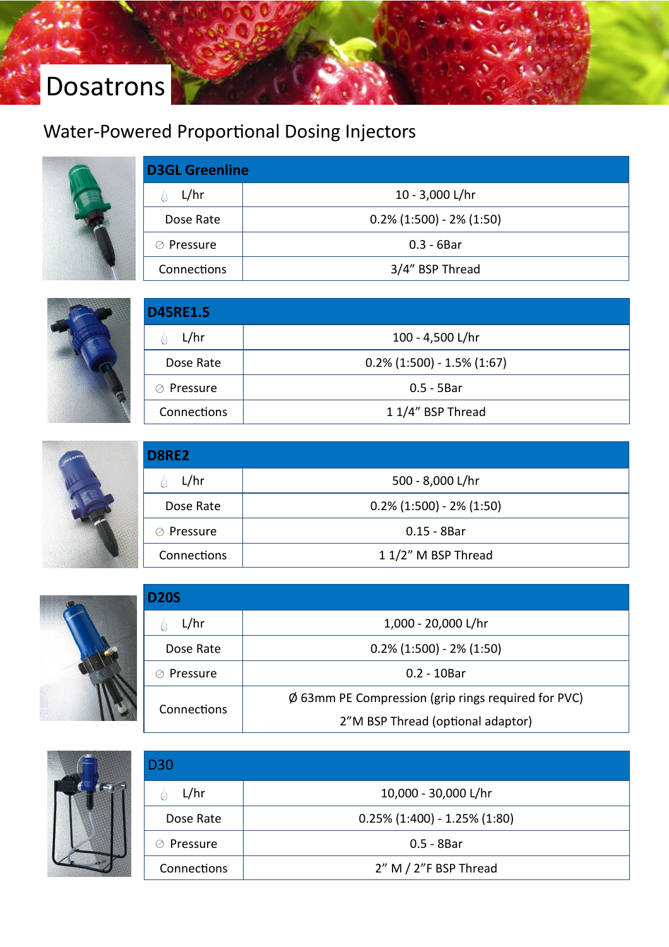# Dosatrons

## Water-Powered Proportional Dosing Injectors



| <b>D3GL Greenline</b> |                             |  |
|-----------------------|-----------------------------|--|
| L/hr                  | 10 - 3,000 L/hr             |  |
| Dose Rate             | $0.2\%$ (1:500) - 2% (1:50) |  |
| Pressure<br>⊘         | $0.3 - 6B$ ar               |  |
| Connections           | 3/4" BSP Thread             |  |



| <b>D45RE1.5</b> |                               |  |
|-----------------|-------------------------------|--|
| L/hr            | 100 - 4,500 L/hr              |  |
| Dose Rate       | $0.2\%$ (1:500) - 1.5% (1:67) |  |
| ⊘ Pressure      | $0.5 - 5Bar$                  |  |
| Connections     | 1 1/4" BSP Thread             |  |



| D8RE2       |                             |  |
|-------------|-----------------------------|--|
| L/hr        | 500 - 8,000 L/hr            |  |
| Dose Rate   | $0.2\%$ (1:500) - 2% (1:50) |  |
| ⊘ Pressure  | $0.15 - 8Bar$               |  |
| Connections | 1 1/2" M BSP Thread         |  |



| D20S          |                                                     |  |  |  |
|---------------|-----------------------------------------------------|--|--|--|
| L/hr          | 1,000 - 20,000 L/hr                                 |  |  |  |
| Dose Rate     | $0.2\%$ (1:500) - 2% (1:50)                         |  |  |  |
| Pressure<br>⊘ | $0.2 - 10$ Bar                                      |  |  |  |
| Connections   | Ø 63mm PE Compression (grip rings required for PVC) |  |  |  |
|               | 2"M BSP Thread (optional adaptor)                   |  |  |  |



| D30         |                                 |
|-------------|---------------------------------|
| L/hr        | 10,000 - 30,000 L/hr            |
| Dose Rate   | $0.25\%$ (1:400) - 1.25% (1:80) |
| ⊘ Pressure  | $0.5 - 8$ Bar                   |
| Connections | 2" M / 2"F BSP Thread           |